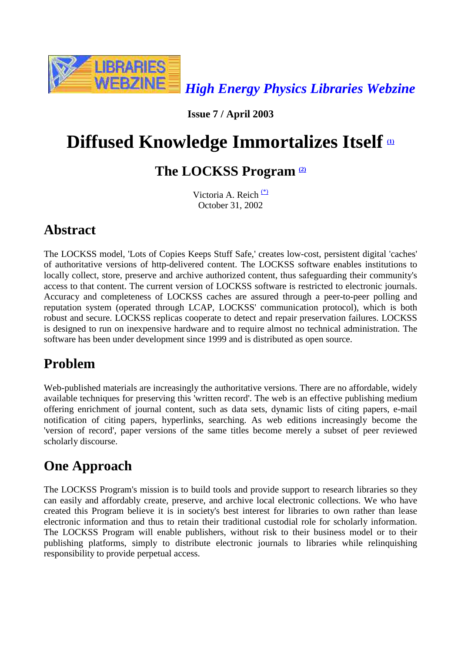

**Issue 7 / April 2003**

# **Diffused Knowledge Immortalizes Itself**  $\omega$

### **The LOCKSS Program (2)**

Victoria A. Reich (\*) October 31, 2002

### **Abstract**

The LOCKSS model, 'Lots of Copies Keeps Stuff Safe,' creates low-cost, persistent digital 'caches' of authoritative versions of http-delivered content. The LOCKSS software enables institutions to locally collect, store, preserve and archive authorized content, thus safeguarding their community's access to that content. The current version of LOCKSS software is restricted to electronic journals. Accuracy and completeness of LOCKSS caches are assured through a peer-to-peer polling and reputation system (operated through LCAP, LOCKSS' communication protocol), which is both robust and secure. LOCKSS replicas cooperate to detect and repair preservation failures. LOCKSS is designed to run on inexpensive hardware and to require almost no technical administration. The software has been under development since 1999 and is distributed as open source.

## **Problem**

Web-published materials are increasingly the authoritative versions. There are no affordable, widely available techniques for preserving this 'written record'. The web is an effective publishing medium offering enrichment of journal content, such as data sets, dynamic lists of citing papers, e-mail notification of citing papers, hyperlinks, searching. As web editions increasingly become the 'version of record', paper versions of the same titles become merely a subset of peer reviewed scholarly discourse.

# **One Approach**

The LOCKSS Program's mission is to build tools and provide support to research libraries so they can easily and affordably create, preserve, and archive local electronic collections. We who have created this Program believe it is in society's best interest for libraries to own rather than lease electronic information and thus to retain their traditional custodial role for scholarly information. The LOCKSS Program will enable publishers, without risk to their business model or to their publishing platforms, simply to distribute electronic journals to libraries while relinquishing responsibility to provide perpetual access.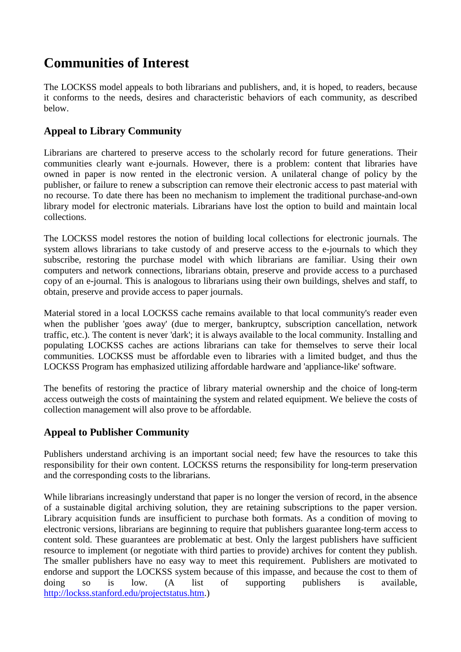### **Communities of Interest**

The LOCKSS model appeals to both librarians and publishers, and, it is hoped, to readers, because it conforms to the needs, desires and characteristic behaviors of each community, as described below.

#### **Appeal to Library Community**

Librarians are chartered to preserve access to the scholarly record for future generations. Their communities clearly want e-journals. However, there is a problem: content that libraries have owned in paper is now rented in the electronic version. A unilateral change of policy by the publisher, or failure to renew a subscription can remove their electronic access to past material with no recourse. To date there has been no mechanism to implement the traditional purchase-and-own library model for electronic materials. Librarians have lost the option to build and maintain local collections.

The LOCKSS model restores the notion of building local collections for electronic journals. The system allows librarians to take custody of and preserve access to the e-journals to which they subscribe, restoring the purchase model with which librarians are familiar. Using their own computers and network connections, librarians obtain, preserve and provide access to a purchased copy of an e-journal. This is analogous to librarians using their own buildings, shelves and staff, to obtain, preserve and provide access to paper journals.

Material stored in a local LOCKSS cache remains available to that local community's reader even when the publisher 'goes away' (due to merger, bankruptcy, subscription cancellation, network traffic, etc.). The content is never 'dark'; it is always available to the local community. Installing and populating LOCKSS caches are actions librarians can take for themselves to serve their local communities. LOCKSS must be affordable even to libraries with a limited budget, and thus the LOCKSS Program has emphasized utilizing affordable hardware and 'appliance-like' software.

The benefits of restoring the practice of library material ownership and the choice of long-term access outweigh the costs of maintaining the system and related equipment. We believe the costs of collection management will also prove to be affordable.

#### **Appeal to Publisher Community**

Publishers understand archiving is an important social need; few have the resources to take this responsibility for their own content. LOCKSS returns the responsibility for long-term preservation and the corresponding costs to the librarians.

While librarians increasingly understand that paper is no longer the version of record, in the absence of a sustainable digital archiving solution, they are retaining subscriptions to the paper version. Library acquisition funds are insufficient to purchase both formats. As a condition of moving to electronic versions, librarians are beginning to require that publishers guarantee long-term access to content sold. These guarantees are problematic at best. Only the largest publishers have sufficient resource to implement (or negotiate with third parties to provide) archives for content they publish. The smaller publishers have no easy way to meet this requirement. Publishers are motivated to endorse and support the LOCKSS system because of this impasse, and because the cost to them of doing so is low. (A list of supporting publishers is available, http://lockss.stanford.edu/projectstatus.htm.)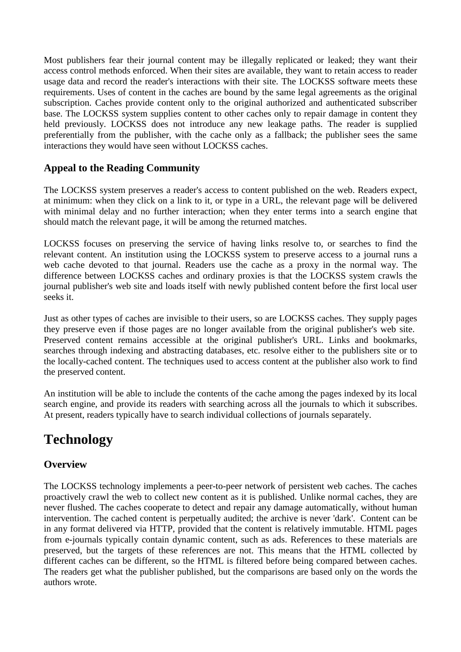Most publishers fear their journal content may be illegally replicated or leaked; they want their access control methods enforced. When their sites are available, they want to retain access to reader usage data and record the reader's interactions with their site. The LOCKSS software meets these requirements. Uses of content in the caches are bound by the same legal agreements as the original subscription. Caches provide content only to the original authorized and authenticated subscriber base. The LOCKSS system supplies content to other caches only to repair damage in content they held previously. LOCKSS does not introduce any new leakage paths. The reader is supplied preferentially from the publisher, with the cache only as a fallback; the publisher sees the same interactions they would have seen without LOCKSS caches.

#### **Appeal to the Reading Community**

The LOCKSS system preserves a reader's access to content published on the web. Readers expect, at minimum: when they click on a link to it, or type in a URL, the relevant page will be delivered with minimal delay and no further interaction; when they enter terms into a search engine that should match the relevant page, it will be among the returned matches.

LOCKSS focuses on preserving the service of having links resolve to, or searches to find the relevant content. An institution using the LOCKSS system to preserve access to a journal runs a web cache devoted to that journal. Readers use the cache as a proxy in the normal way. The difference between LOCKSS caches and ordinary proxies is that the LOCKSS system crawls the journal publisher's web site and loads itself with newly published content before the first local user seeks it.

Just as other types of caches are invisible to their users, so are LOCKSS caches. They supply pages they preserve even if those pages are no longer available from the original publisher's web site. Preserved content remains accessible at the original publisher's URL. Links and bookmarks, searches through indexing and abstracting databases, etc. resolve either to the publishers site or to the locally-cached content. The techniques used to access content at the publisher also work to find the preserved content.

An institution will be able to include the contents of the cache among the pages indexed by its local search engine, and provide its readers with searching across all the journals to which it subscribes. At present, readers typically have to search individual collections of journals separately.

### **Technology**

#### **Overview**

The LOCKSS technology implements a peer-to-peer network of persistent web caches. The caches proactively crawl the web to collect new content as it is published. Unlike normal caches, they are never flushed. The caches cooperate to detect and repair any damage automatically, without human intervention. The cached content is perpetually audited; the archive is never 'dark'. Content can be in any format delivered via HTTP, provided that the content is relatively immutable. HTML pages from e-journals typically contain dynamic content, such as ads. References to these materials are preserved, but the targets of these references are not. This means that the HTML collected by different caches can be different, so the HTML is filtered before being compared between caches. The readers get what the publisher published, but the comparisons are based only on the words the authors wrote.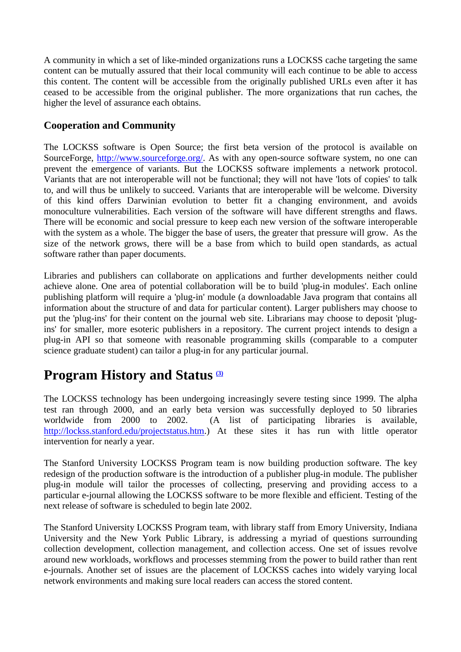A community in which a set of like-minded organizations runs a LOCKSS cache targeting the same content can be mutually assured that their local community will each continue to be able to access this content. The content will be accessible from the originally published URLs even after it has ceased to be accessible from the original publisher. The more organizations that run caches, the higher the level of assurance each obtains.

#### **Cooperation and Community**

The LOCKSS software is Open Source; the first beta version of the protocol is available on SourceForge, http://www.sourceforge.org/. As with any open-source software system, no one can prevent the emergence of variants. But the LOCKSS software implements a network protocol. Variants that are not interoperable will not be functional; they will not have 'lots of copies' to talk to, and will thus be unlikely to succeed. Variants that are interoperable will be welcome. Diversity of this kind offers Darwinian evolution to better fit a changing environment, and avoids monoculture vulnerabilities. Each version of the software will have different strengths and flaws. There will be economic and social pressure to keep each new version of the software interoperable with the system as a whole. The bigger the base of users, the greater that pressure will grow. As the size of the network grows, there will be a base from which to build open standards, as actual software rather than paper documents.

Libraries and publishers can collaborate on applications and further developments neither could achieve alone. One area of potential collaboration will be to build 'plug-in modules'. Each online publishing platform will require a 'plug-in' module (a downloadable Java program that contains all information about the structure of and data for particular content). Larger publishers may choose to put the 'plug-ins' for their content on the journal web site. Librarians may choose to deposit 'plugins' for smaller, more esoteric publishers in a repository. The current project intends to design a plug-in API so that someone with reasonable programming skills (comparable to a computer science graduate student) can tailor a plug-in for any particular journal.

#### **Program History and Status**  $\frac{3}{2}$

The LOCKSS technology has been undergoing increasingly severe testing since 1999. The alpha test ran through 2000, and an early beta version was successfully deployed to 50 libraries worldwide from 2000 to 2002. (A list of participating libraries is available, http://lockss.stanford.edu/projectstatus.htm.) At these sites it has run with little operator intervention for nearly a year.

The Stanford University LOCKSS Program team is now building production software. The key redesign of the production software is the introduction of a publisher plug-in module. The publisher plug-in module will tailor the processes of collecting, preserving and providing access to a particular e-journal allowing the LOCKSS software to be more flexible and efficient. Testing of the next release of software is scheduled to begin late 2002.

The Stanford University LOCKSS Program team, with library staff from Emory University, Indiana University and the New York Public Library, is addressing a myriad of questions surrounding collection development, collection management, and collection access. One set of issues revolve around new workloads, workflows and processes stemming from the power to build rather than rent e-journals. Another set of issues are the placement of LOCKSS caches into widely varying local network environments and making sure local readers can access the stored content.